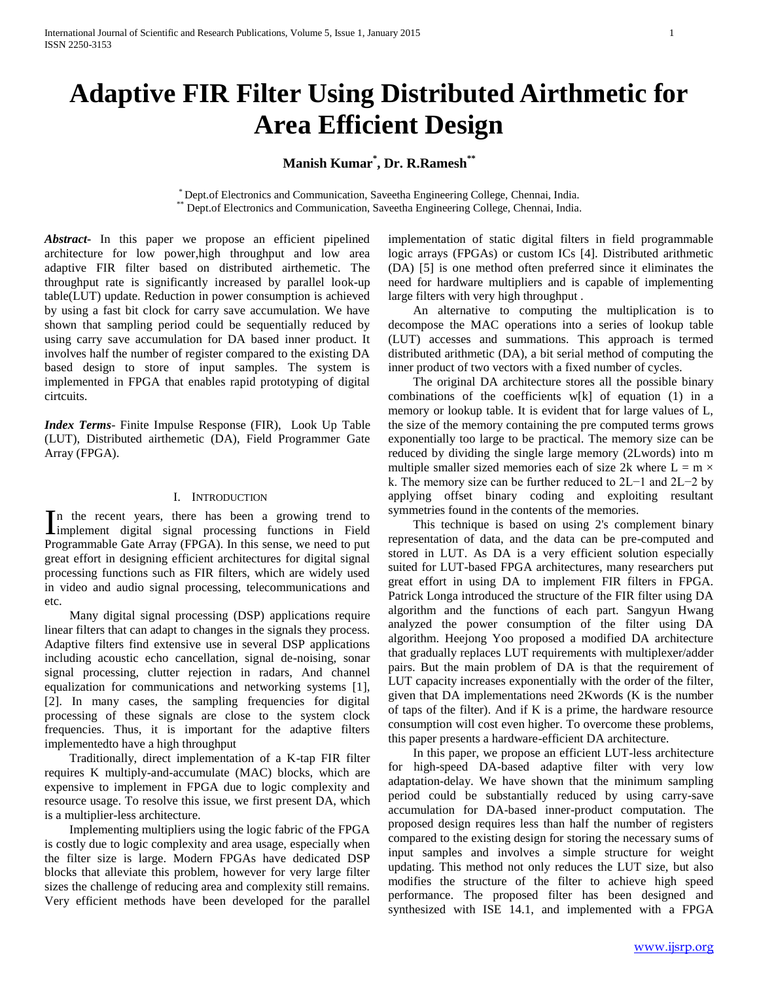# **Adaptive FIR Filter Using Distributed Airthmetic for Area Efficient Design**

## **Manish Kumar\* , Dr. R.Ramesh\*\***

\* Dept.of Electronics and Communication, Saveetha Engineering College, Chennai, India. Dept.of Electronics and Communication, Saveetha Engineering College, Chennai, India.

*Abstract***-** In this paper we propose an efficient pipelined architecture for low power,high throughput and low area adaptive FIR filter based on distributed airthemetic. The throughput rate is significantly increased by parallel look-up table(LUT) update. Reduction in power consumption is achieved by using a fast bit clock for carry save accumulation. We have shown that sampling period could be sequentially reduced by using carry save accumulation for DA based inner product. It involves half the number of register compared to the existing DA based design to store of input samples. The system is implemented in FPGA that enables rapid prototyping of digital cirtcuits.

*Index Terms*- Finite Impulse Response (FIR), Look Up Table (LUT), Distributed airthemetic (DA), Field Programmer Gate Array (FPGA).

## I. INTRODUCTION

n the recent years, there has been a growing trend to In the recent years, there has been a growing trend to implement digital signal processing functions in Field Programmable Gate Array (FPGA). In this sense, we need to put great effort in designing efficient architectures for digital signal processing functions such as FIR filters, which are widely used in video and audio signal processing, telecommunications and etc.

 Many digital signal processing (DSP) applications require linear filters that can adapt to changes in the signals they process. Adaptive filters find extensive use in several DSP applications including acoustic echo cancellation, signal de-noising, sonar signal processing, clutter rejection in radars, And channel equalization for communications and networking systems [1], [2]. In many cases, the sampling frequencies for digital processing of these signals are close to the system clock frequencies. Thus, it is important for the adaptive filters implementedto have a high throughput

 Traditionally, direct implementation of a K-tap FIR filter requires K multiply-and-accumulate (MAC) blocks, which are expensive to implement in FPGA due to logic complexity and resource usage. To resolve this issue, we first present DA, which is a multiplier-less architecture.

 Implementing multipliers using the logic fabric of the FPGA is costly due to logic complexity and area usage, especially when the filter size is large. Modern FPGAs have dedicated DSP blocks that alleviate this problem, however for very large filter sizes the challenge of reducing area and complexity still remains. Very efficient methods have been developed for the parallel implementation of static digital filters in field programmable logic arrays (FPGAs) or custom ICs [4]. Distributed arithmetic (DA) [5] is one method often preferred since it eliminates the need for hardware multipliers and is capable of implementing large filters with very high throughput .

 An alternative to computing the multiplication is to decompose the MAC operations into a series of lookup table (LUT) accesses and summations. This approach is termed distributed arithmetic (DA), a bit serial method of computing the inner product of two vectors with a fixed number of cycles.

 The original DA architecture stores all the possible binary combinations of the coefficients w[k] of equation (1) in a memory or lookup table. It is evident that for large values of L, the size of the memory containing the pre computed terms grows exponentially too large to be practical. The memory size can be reduced by dividing the single large memory (2Lwords) into m multiple smaller sized memories each of size 2k where  $L = m \times$ k. The memory size can be further reduced to 2L−1 and 2L−2 by applying offset binary coding and exploiting resultant symmetries found in the contents of the memories.

 This technique is based on using 2's complement binary representation of data, and the data can be pre-computed and stored in LUT. As DA is a very efficient solution especially suited for LUT-based FPGA architectures, many researchers put great effort in using DA to implement FIR filters in FPGA. Patrick Longa introduced the structure of the FIR filter using DA algorithm and the functions of each part. Sangyun Hwang analyzed the power consumption of the filter using DA algorithm. Heejong Yoo proposed a modified DA architecture that gradually replaces LUT requirements with multiplexer/adder pairs. But the main problem of DA is that the requirement of LUT capacity increases exponentially with the order of the filter, given that DA implementations need 2Kwords (K is the number of taps of the filter). And if K is a prime, the hardware resource consumption will cost even higher. To overcome these problems, this paper presents a hardware-efficient DA architecture.

 In this paper, we propose an efficient LUT-less architecture for high-speed DA-based adaptive filter with very low adaptation-delay. We have shown that the minimum sampling period could be substantially reduced by using carry-save accumulation for DA-based inner-product computation. The proposed design requires less than half the number of registers compared to the existing design for storing the necessary sums of input samples and involves a simple structure for weight updating. This method not only reduces the LUT size, but also modifies the structure of the filter to achieve high speed performance. The proposed filter has been designed and synthesized with ISE 14.1, and implemented with a FPGA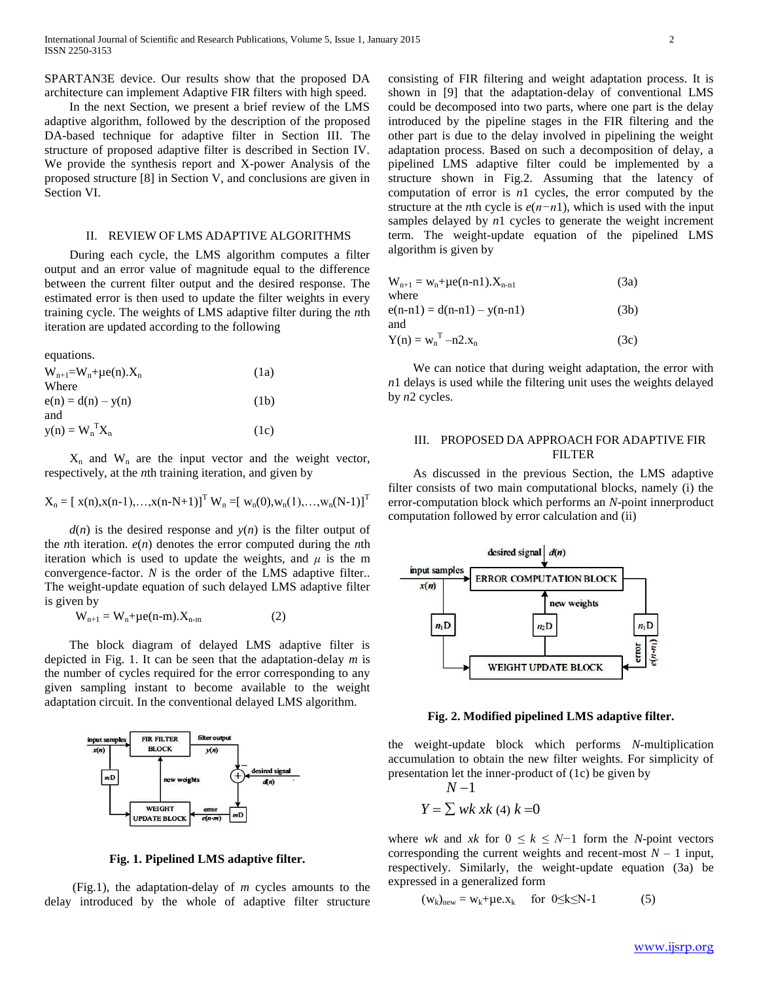SPARTAN3E device. Our results show that the proposed DA architecture can implement Adaptive FIR filters with high speed.

 In the next Section, we present a brief review of the LMS adaptive algorithm, followed by the description of the proposed DA-based technique for adaptive filter in Section III. The structure of proposed adaptive filter is described in Section IV. We provide the synthesis report and X-power Analysis of the proposed structure [8] in Section V, and conclusions are given in Section VI.

## II. REVIEW OF LMS ADAPTIVE ALGORITHMS

 During each cycle, the LMS algorithm computes a filter output and an error value of magnitude equal to the difference between the current filter output and the desired response. The estimated error is then used to update the filter weights in every training cycle. The weights of LMS adaptive filter during the *n*th iteration are updated according to the following

equations.

| (1a) |
|------|
|      |
| (1b) |
|      |
| (1c) |
|      |

 $X_n$  and  $W_n$  are the input vector and the weight vector, respectively, at the *n*th training iteration, and given by

$$
X_n = [\ x(n), x(n-1), ..., x(n-N+1)]^T W_n = [\ w_n(0), w_n(1), ..., w_n(N-1)]^T
$$

 $d(n)$  is the desired response and  $y(n)$  is the filter output of the *n*th iteration. *e*(*n*) denotes the error computed during the *n*th iteration which is used to update the weights, and  $\mu$  is the m convergence-factor. *N* is the order of the LMS adaptive filter.. The weight-update equation of such delayed LMS adaptive filter is given by

$$
W_{n+1} = W_n + \mu e(n-m).X_{n-m}
$$
 (2)

 The block diagram of delayed LMS adaptive filter is depicted in Fig. 1. It can be seen that the adaptation-delay *m* is the number of cycles required for the error corresponding to any given sampling instant to become available to the weight adaptation circuit. In the conventional delayed LMS algorithm.



**Fig. 1. Pipelined LMS adaptive filter.**

 (Fig.1), the adaptation-delay of *m* cycles amounts to the delay introduced by the whole of adaptive filter structure consisting of FIR filtering and weight adaptation process. It is shown in [9] that the adaptation-delay of conventional LMS could be decomposed into two parts, where one part is the delay introduced by the pipeline stages in the FIR filtering and the other part is due to the delay involved in pipelining the weight adaptation process. Based on such a decomposition of delay, a pipelined LMS adaptive filter could be implemented by a structure shown in Fig.2. Assuming that the latency of computation of error is *n*1 cycles, the error computed by the structure at the *n*th cycle is *e*(*n−n*1), which is used with the input samples delayed by *n*1 cycles to generate the weight increment term. The weight-update equation of the pipelined LMS algorithm is given by

| $W_{n+1} = W_n + \mu e(n-n1) \cdot X_{n-n1}$ | (3a) |
|----------------------------------------------|------|
| where                                        |      |
| $e(n-n1) = d(n-n1) - y(n-n1)$                | (3b) |
| and                                          |      |
| $Y(n) = w_n^T - n2.x_n$                      | (3c) |

 We can notice that during weight adaptation, the error with *n*1 delays is used while the filtering unit uses the weights delayed by *n*2 cycles.

## III. PROPOSED DA APPROACH FOR ADAPTIVE FIR FILTER

 As discussed in the previous Section, the LMS adaptive filter consists of two main computational blocks, namely (i) the error-computation block which performs an *N*-point innerproduct computation followed by error calculation and (ii)



**Fig. 2. Modified pipelined LMS adaptive filter.**

the weight-update block which performs *N*-multiplication accumulation to obtain the new filter weights. For simplicity of presentation let the inner-product of (1c) be given by

$$
N-1
$$
  

$$
Y = \sum wk \; sk \; (4) \; k =0
$$

where *wk* and *xk* for  $0 \le k \le N-1$  form the *N*-point vectors corresponding the current weights and recent-most  $N-1$  input, respectively. Similarly, the weight-update equation (3a) be expressed in a generalized form

$$
(w_k)_{new} = w_k + \mu e.x_k \quad \text{for } 0 \le k \le N-1 \tag{5}
$$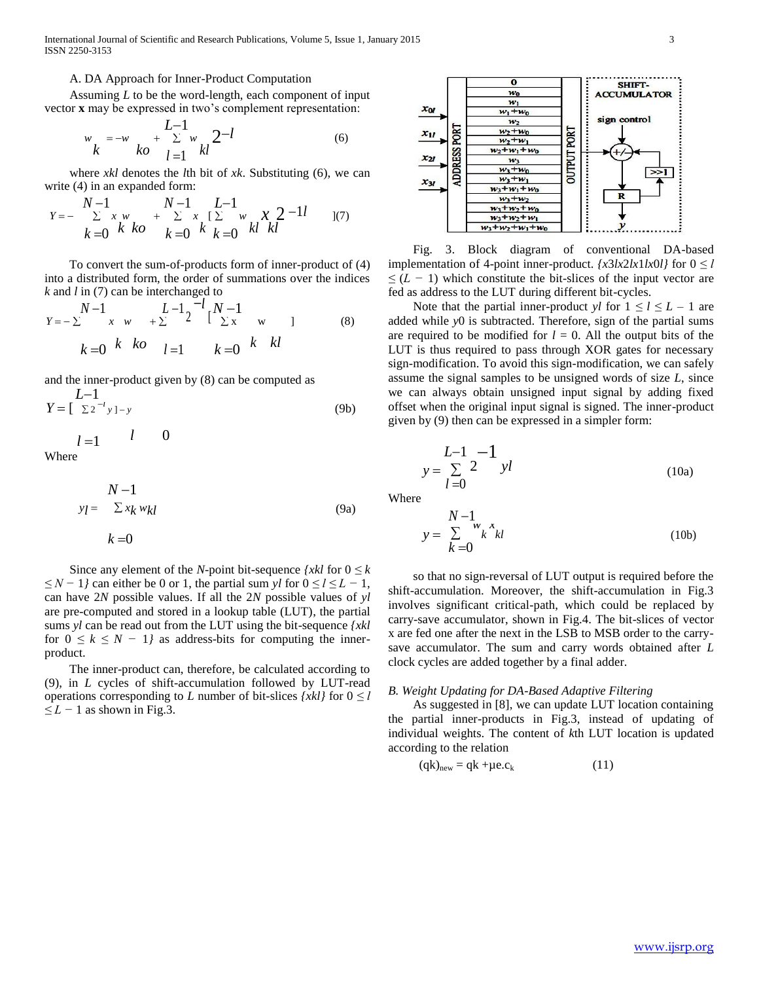International Journal of Scientific and Research Publications, Volume 5, Issue 1, January 2015 3 ISSN 2250-3153

#### A. DA Approach for Inner-Product Computation

 Assuming *L* to be the word-length, each component of input vector **x** may be expressed in two's complement representation:

$$
w_k = -w_k + \sum_{l=1}^{L-1} w_{kl} 2^{-l}
$$
 (6)

 where *xkl* denotes the *l*th bit of *xk*. Substituting (6), we can write  $(4)$  in an expanded form:

$$
Y = -\sum_{k=0}^{N-1} \sum_{\substack{k \ k \ b}}^{N-1} \sum_{\substack{k=0 \ k \ b}}^{N-1} \sum_{\substack{k=0 \ k \ b}}^{L-1} \sum_{\substack{k=0 \ k \ b}}^{N} \sum_{\substack{k=0 \ k \ b}}^{N-1} \sum_{\substack{l \ b \ l \ b}}^{N-1} \frac{1}{l}} \tag{7}
$$

 To convert the sum-of-products form of inner-product of (4) into a distributed form, the order of summations over the indices *k* and *l* in (7) can be interchanged to

$$
Y = -\sum_{k=0}^{N-1} \begin{array}{ccc} k & k \\ k & k \end{array} + \sum_{k=1}^{L-1} \begin{array}{ccc} 1 & -1 \\ 2 & 1 \end{array} \begin{array}{ccc} 1 & 0 \\ 1 & k \end{array} \begin{array}{ccc} 1 & 0 \\ 1 & 1 \end{array} \begin{array}{ccc} 1 & 0 \\ 1 & 1 \end{array} \end{array} \tag{8}
$$

and the inner-product given by (8) can be computed as  $I=1$ 

$$
Y = \left[\begin{array}{c} 2^{-l} \\ \Sigma^{2-l} \end{array}\right] - y \tag{9b}
$$

$$
l=1 \qquad l \qquad 0
$$

Where

$$
N-1
$$
  
\n
$$
y_l = \sum x_k w_{kl}
$$
  
\n
$$
k=0
$$
\n(9a)

Since any element of the *N*-point bit-sequence  $\{xkl\}$  for  $0 \le k$ *≤ N −* 1*}* can either be 0 or 1, the partial sum *yl* for 0 *≤ l ≤ L −* 1, can have 2*N* possible values. If all the 2*N* possible values of *yl* are pre-computed and stored in a lookup table (LUT), the partial sums *yl* can be read out from the LUT using the bit-sequence *{xkl* for  $0 \leq k \leq N - 1$ *j* as address-bits for computing the innerproduct.

 The inner-product can, therefore, be calculated according to (9), in *L* cycles of shift-accumulation followed by LUT-read operations corresponding to *L* number of bit-slices  $\{xkl\}$  for  $0 \leq l$ *≤ L −* 1 as shown in Fig.3.



 Fig. 3. Block diagram of conventional DA-based implementation of 4-point inner-product.  $\{x3\frac{lx}{2\frac{lx}{lx}}\}$  for  $0 \leq l$ *≤* (*L −* 1) which constitute the bit-slices of the input vector are fed as address to the LUT during different bit-cycles.

Note that the partial inner-product *yl* for  $1 \le l \le L - 1$  are added while *y*0 is subtracted. Therefore, sign of the partial sums are required to be modified for  $l = 0$ . All the output bits of the LUT is thus required to pass through XOR gates for necessary sign-modification. To avoid this sign-modification, we can safely assume the signal samples to be unsigned words of size *L*, since we can always obtain unsigned input signal by adding fixed offset when the original input signal is signed. The inner-product given by (9) then can be expressed in a simpler form:

$$
y = \sum_{l=0}^{L-1} \sum_{j=0}^{l} yl
$$
 (10a)

Where

$$
y = \sum_{k=0}^{N-1} w_k x_k
$$
 (10b)

 so that no sign-reversal of LUT output is required before the shift-accumulation. Moreover, the shift-accumulation in Fig.3 involves significant critical-path, which could be replaced by carry-save accumulator, shown in Fig.4. The bit-slices of vector x are fed one after the next in the LSB to MSB order to the carrysave accumulator. The sum and carry words obtained after *L* clock cycles are added together by a final adder.

#### *B. Weight Updating for DA-Based Adaptive Filtering*

 As suggested in [8], we can update LUT location containing the partial inner-products in Fig.3, instead of updating of individual weights. The content of *k*th LUT location is updated according to the relation

$$
(qk)_{new} = qk + \mu e.c_k
$$
 (11)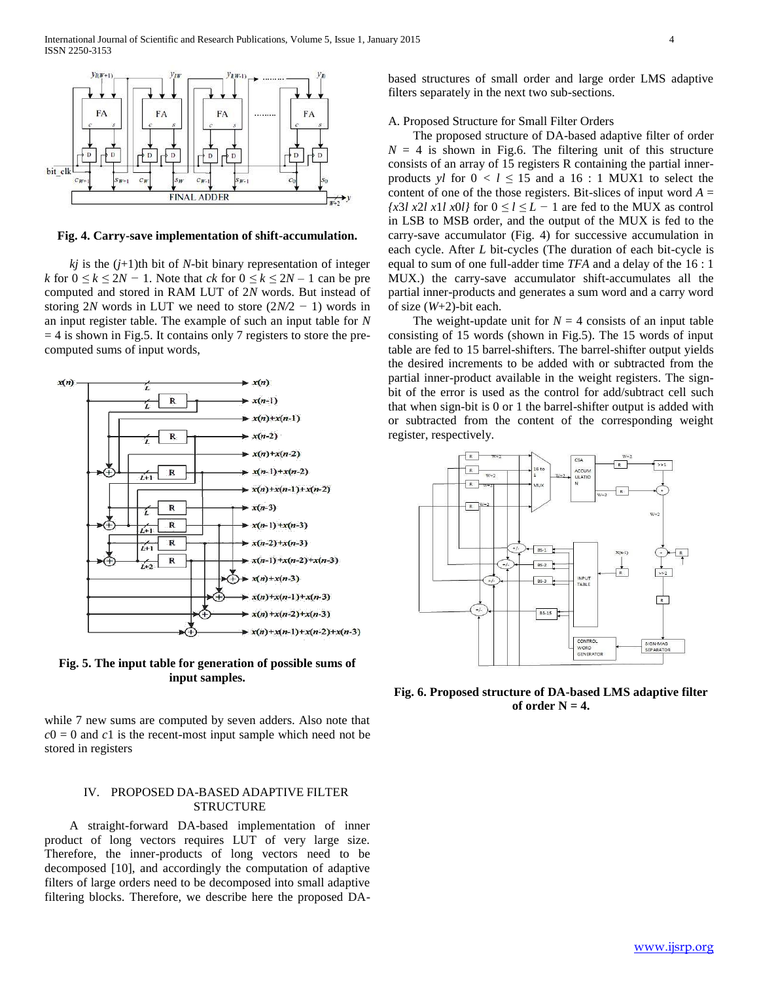

**Fig. 4. Carry-save implementation of shift-accumulation.**

 $kj$  is the  $(j+1)$ th bit of *N*-bit binary representation of integer *k* for  $0 \le k \le 2N - 1$ . Note that *ck* for  $0 \le k \le 2N - 1$  can be pre computed and stored in RAM LUT of 2*N* words. But instead of storing 2*N* words in LUT we need to store (2*N/*2 *−* 1) words in an input register table. The example of such an input table for *N*  $= 4$  is shown in Fig.5. It contains only 7 registers to store the precomputed sums of input words,



**Fig. 5. The input table for generation of possible sums of input samples.**

while 7 new sums are computed by seven adders. Also note that  $c0 = 0$  and  $c1$  is the recent-most input sample which need not be stored in registers

## IV. PROPOSED DA-BASED ADAPTIVE FILTER STRUCTURE

 A straight-forward DA-based implementation of inner product of long vectors requires LUT of very large size. Therefore, the inner-products of long vectors need to be decomposed [10], and accordingly the computation of adaptive filters of large orders need to be decomposed into small adaptive filtering blocks. Therefore, we describe here the proposed DA-

based structures of small order and large order LMS adaptive filters separately in the next two sub-sections.

## A. Proposed Structure for Small Filter Orders

 The proposed structure of DA-based adaptive filter of order  $N = 4$  is shown in Fig.6. The filtering unit of this structure consists of an array of 15 registers R containing the partial innerproducts *yl* for  $0 < l \le 15$  and a 16 : 1 MUX1 to select the content of one of the those registers. Bit-slices of input word  $A =$  $\{x3l \ x2l \ x1l \ x0l\}$  for  $0 \le l \le L - 1$  are fed to the MUX as control in LSB to MSB order, and the output of the MUX is fed to the carry-save accumulator (Fig. 4) for successive accumulation in each cycle. After *L* bit-cycles (The duration of each bit-cycle is equal to sum of one full-adder time *TFA* and a delay of the 16 : 1 MUX.) the carry-save accumulator shift-accumulates all the partial inner-products and generates a sum word and a carry word of size (*W*+2)-bit each.

The weight-update unit for  $N = 4$  consists of an input table consisting of 15 words (shown in Fig.5). The 15 words of input table are fed to 15 barrel-shifters. The barrel-shifter output yields the desired increments to be added with or subtracted from the partial inner-product available in the weight registers. The signbit of the error is used as the control for add/subtract cell such that when sign-bit is 0 or 1 the barrel-shifter output is added with or subtracted from the content of the corresponding weight register, respectively.



**Fig. 6. Proposed structure of DA-based LMS adaptive filter**  of order  $N = 4$ .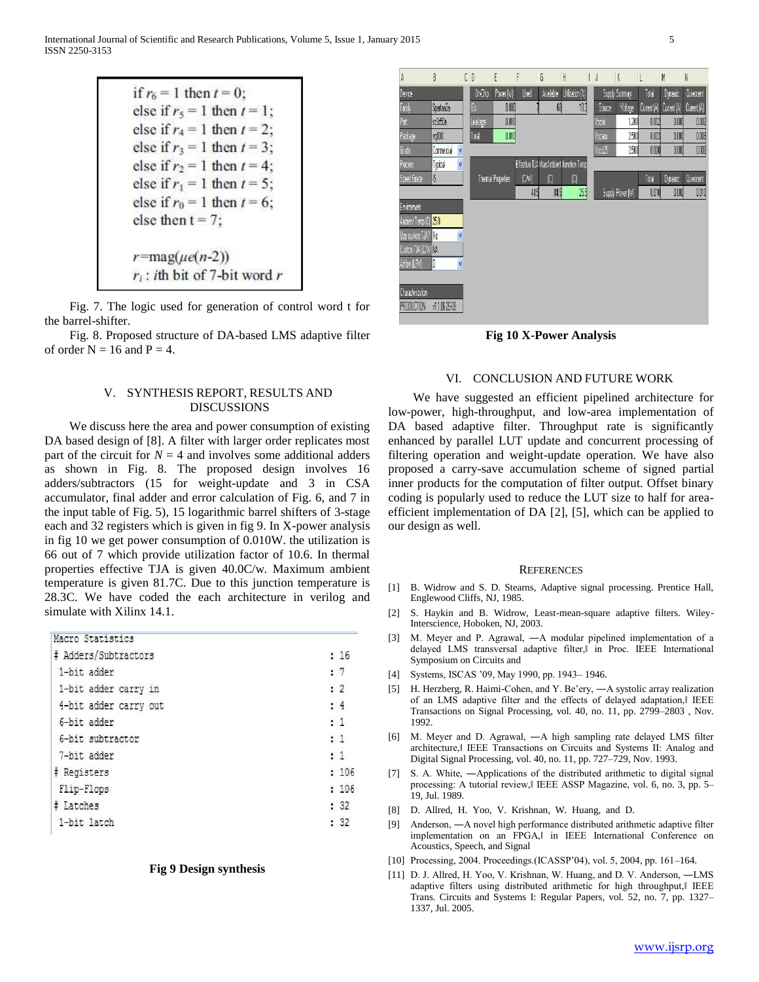|                              | else if $r_5 = 1$ then $t = 1$ ; |
|------------------------------|----------------------------------|
|                              | else if $r_4 = 1$ then $t = 2$ ; |
|                              | else if $r_3 = 1$ then $t = 3$ ; |
|                              | else if $r_2 = 1$ then $t = 4$ ; |
|                              | else if $r_1 = 1$ then $t = 5$ ; |
|                              | else if $r_0 = 1$ then $t = 6$ ; |
| else then $t = 7$ ;          |                                  |
| $r = \text{mag}(\mu e(n-2))$ |                                  |

 Fig. 7. The logic used for generation of control word t for the barrel-shifter.

 Fig. 8. Proposed structure of DA-based LMS adaptive filter of order  $N = 16$  and  $P = 4$ .

## V. SYNTHESIS REPORT, RESULTS AND DISCUSSIONS

 We discuss here the area and power consumption of existing DA based design of [8]. A filter with larger order replicates most part of the circuit for  $N = 4$  and involves some additional adders as shown in Fig. 8. The proposed design involves 16 adders/subtractors (15 for weight-update and 3 in CSA accumulator, final adder and error calculation of Fig. 6, and 7 in the input table of Fig. 5), 15 logarithmic barrel shifters of 3-stage each and 32 registers which is given in fig 9. In X-power analysis in fig 10 we get power consumption of 0.010W. the utilization is 66 out of 7 which provide utilization factor of 10.6. In thermal properties effective TJA is given 40.0C/w. Maximum ambient temperature is given 81.7C. Due to this junction temperature is 28.3C. We have coded the each architecture in verilog and simulate with Xilinx 14.1.

| Macro Statistics      |                |
|-----------------------|----------------|
| # Adders/Subtractors  | : 16           |
| 1-bit adder           | : 7            |
| 1-bit adder carry in  | $\cdot$ 2      |
| 4-bit adder carry out | : 4            |
| 6-bit adder           | $\frac{1}{1}$  |
| 6-bit subtractor      | $\blacksquare$ |
| 7-bit adder           | $\cdot$ 1      |
| <b># Registers</b>    | 106            |
| Flip-Flops            | 106            |
| # Latches             | $\frac{32}{ }$ |
| 1-bit latch           | : 32           |
|                       |                |

#### **Fig 9 Design synthesis**

 $\mathbb{R}$  $E D$ G Total Spartan Ja nm 蘭 103 **Yotage Current (b)** Soure ckl 1.200  $000$  $0010$ nor  $000$ vq100 2500  $0.00$ 0.DOG 000 2500  $0.00$  $000$  $000$ Commercial V Effective TJA Max Ambient Junction Tem Tucical Themal Properties  $[M]$  $\vert 0 \vert$ Total 485 845 Supply Power flw  $001$  $000$  $001$ Charactenzation PRODUCTION v1.1.06-26-09

**Fig 10 X-Power Analysis**

#### VI. CONCLUSION AND FUTURE WORK

 We have suggested an efficient pipelined architecture for low-power, high-throughput, and low-area implementation of DA based adaptive filter. Throughput rate is significantly enhanced by parallel LUT update and concurrent processing of filtering operation and weight-update operation. We have also proposed a carry-save accumulation scheme of signed partial inner products for the computation of filter output. Offset binary coding is popularly used to reduce the LUT size to half for areaefficient implementation of DA [2], [5], which can be applied to our design as well.

#### **REFERENCES**

- [1] B. Widrow and S. D. Stearns, Adaptive signal processing. Prentice Hall, Englewood Cliffs, NJ, 1985.
- [2] S. Haykin and B. Widrow, Least-mean-square adaptive filters. Wiley-Interscience, Hoboken, NJ, 2003.
- [3] M. Meyer and P. Agrawal, ―A modular pipelined implementation of a delayed LMS transversal adaptive filter,‖ in Proc. IEEE International Symposium on Circuits and
- [4] Systems, ISCAS '09, May 1990, pp. 1943– 1946.
- [5] H. Herzberg, R. Haimi-Cohen, and Y. Be'ery,  $-A$  systolic array realization of an LMS adaptive filter and the effects of delayed adaptation,‖ IEEE Transactions on Signal Processing, vol. 40, no. 11, pp. 2799–2803 , Nov. 1992.
- [6] M. Meyer and D. Agrawal, ―A high sampling rate delayed LMS filter architecture,‖ IEEE Transactions on Circuits and Systems II: Analog and Digital Signal Processing, vol. 40, no. 11, pp. 727–729, Nov. 1993.
- [7] S. A. White, —Applications of the distributed arithmetic to digital signal processing: A tutorial review,‖ IEEE ASSP Magazine, vol. 6, no. 3, pp. 5– 19, Jul. 1989.
- [8] D. Allred, H. Yoo, V. Krishnan, W. Huang, and D.
- [9] Anderson, ―A novel high performance distributed arithmetic adaptive filter implementation on an FPGA, lin IEEE International Conference on Acoustics, Speech, and Signal
- [10] Processing, 2004. Proceedings.(ICASSP'04), vol. 5, 2004, pp. 161–164.
- [11] D. J. Allred, H. Yoo, V. Krishnan, W. Huang, and D. V. Anderson, -LMS adaptive filters using distributed arithmetic for high throughput, I IEEE Trans. Circuits and Systems I: Regular Papers, vol. 52, no. 7, pp. 1327– 1337, Jul. 2005.